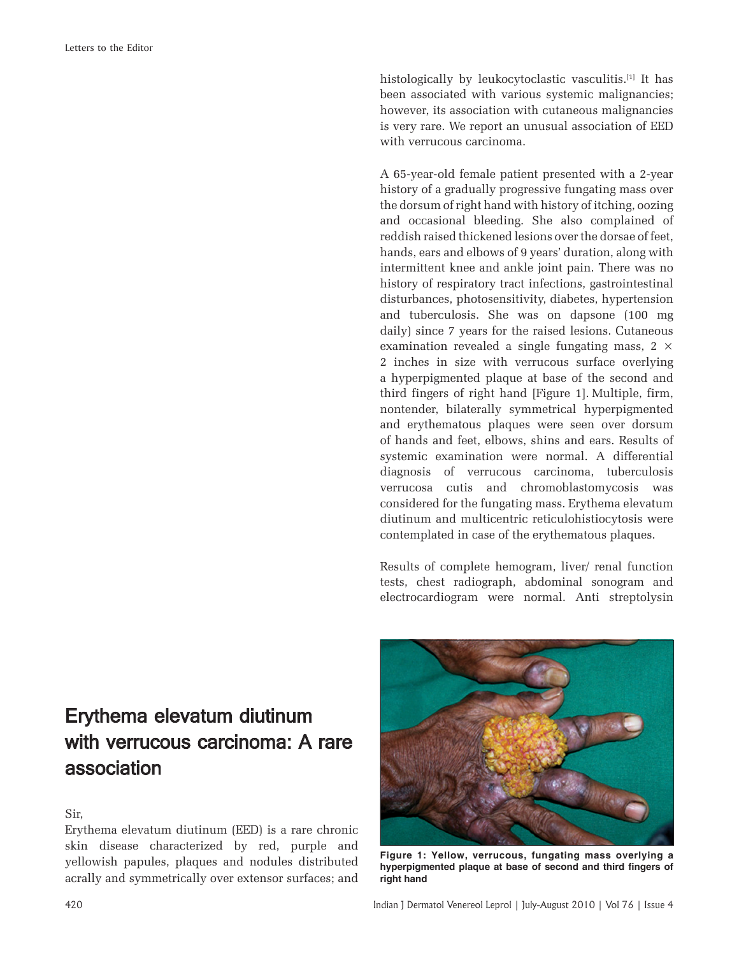histologically by leukocytoclastic vasculitis.<sup>[1]</sup> It has been associated with various systemic malignancies; however, its association with cutaneous malignancies is very rare. We report an unusual association of EED with verrucous carcinoma.

A 65-year-old female patient presented with a 2-year history of a gradually progressive fungating mass over the dorsum of right hand with history of itching, oozing and occasional bleeding. She also complained of reddish raised thickened lesions over the dorsae of feet, hands, ears and elbows of 9 years' duration, along with intermittent knee and ankle joint pain. There was no history of respiratory tract infections, gastrointestinal disturbances, photosensitivity, diabetes, hypertension and tuberculosis. She was on dapsone (100 mg daily) since 7 years for the raised lesions. Cutaneous examination revealed a single fungating mass,  $2 \times$ 2 inches in size with verrucous surface overlying a hyperpigmented plaque at base of the second and third fingers of right hand [Figure 1]. Multiple, firm, nontender, bilaterally symmetrical hyperpigmented and erythematous plaques were seen over dorsum of hands and feet, elbows, shins and ears. Results of systemic examination were normal. A differential diagnosis of verrucous carcinoma, tuberculosis verrucosa cutis and chromoblastomycosis was considered for the fungating mass. Erythema elevatum diutinum and multicentric reticulohistiocytosis were contemplated in case of the erythematous plaques.

Results of complete hemogram, liver/ renal function tests, chest radiograph, abdominal sonogram and electrocardiogram were normal. Anti streptolysin

## Erythema elevatum diutinum with verrucous carcinoma: A rare association

Sir,

Erythema elevatum diutinum (EED) is a rare chronic skin disease characterized by red, purple and yellowish papules, plaques and nodules distributed acrally and symmetrically over extensor surfaces; and



hyperpigmented plaque at base of second and third fingers of **right hand**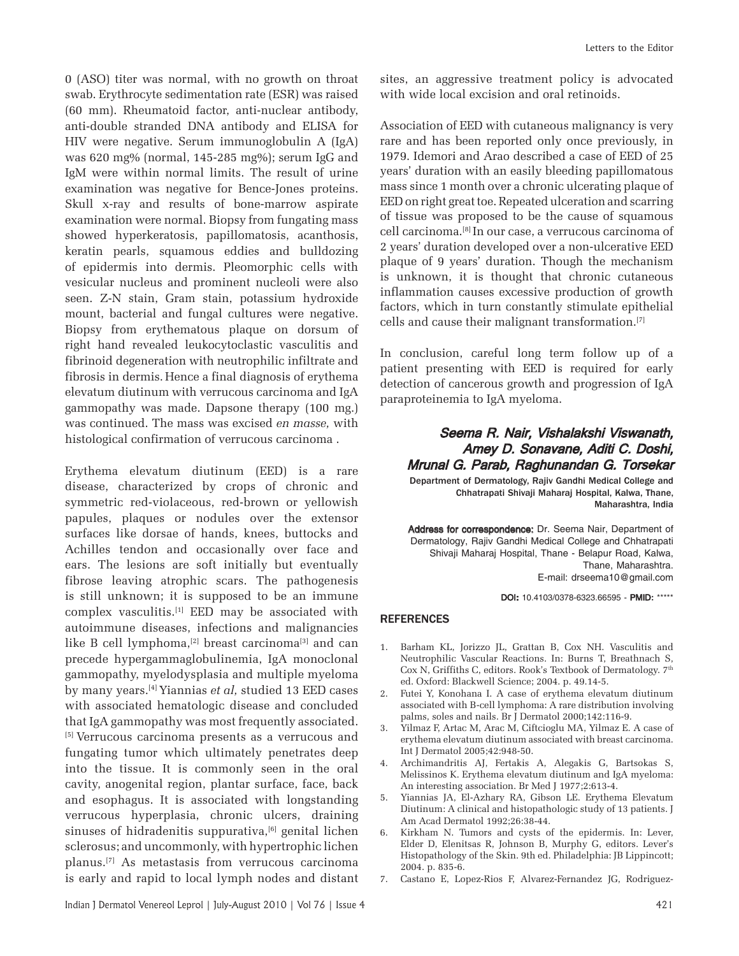0 (ASO) titer was normal, with no growth on throat swab. Erythrocyte sedimentation rate (ESR) was raised (60 mm). Rheumatoid factor, anti-nuclear antibody, anti-double stranded DNA antibody and ELISA for HIV were negative. Serum immunoglobulin A (IgA) was 620 mg% (normal, 145-285 mg%); serum IgG and IgM were within normal limits. The result of urine examination was negative for Bence-Jones proteins. Skull x-ray and results of bone-marrow aspirate examination were normal. Biopsy from fungating mass showed hyperkeratosis, papillomatosis, acanthosis, keratin pearls, squamous eddies and bulldozing of epidermis into dermis. Pleomorphic cells with vesicular nucleus and prominent nucleoli were also seen. Z-N stain, Gram stain, potassium hydroxide mount, bacterial and fungal cultures were negative. Biopsy from erythematous plaque on dorsum of right hand revealed leukocytoclastic vasculitis and fibrinoid degeneration with neutrophilic infiltrate and fibrosis in dermis.Hence a final diagnosis of erythema elevatum diutinum with verrucous carcinoma and IgA gammopathy was made. Dapsone therapy (100 mg.) was continued. The mass was excised *en masse,* with histological confirmation of verrucous carcinoma .

Erythema elevatum diutinum (EED) is a rare disease, characterized by crops of chronic and symmetric red-violaceous, red-brown or yellowish papules, plaques or nodules over the extensor surfaces like dorsae of hands, knees, buttocks and Achilles tendon and occasionally over face and ears. The lesions are soft initially but eventually fibrose leaving atrophic scars. The pathogenesis is still unknown; it is supposed to be an immune complex vasculitis.<sup>[1]</sup> EED may be associated with autoimmune diseases, infections and malignancies like B cell lymphoma, $[2]$  breast carcinoma $[3]$  and can precede hypergammaglobulinemia, IgA monoclonal gammopathy, myelodysplasia and multiple myeloma by many years.[4] Yiannias *et al,* studied 13 EED cases with associated hematologic disease and concluded that IgA gammopathy was most frequently associated. [5] Verrucous carcinoma presents as a verrucous and fungating tumor which ultimately penetrates deep into the tissue. It is commonly seen in the oral cavity, anogenital region, plantar surface, face, back and esophagus. It is associated with longstanding verrucous hyperplasia, chronic ulcers, draining sinuses of hidradenitis suppurativa, $[6]$  genital lichen sclerosus; and uncommonly, with hypertrophic lichen planus.[7] As metastasis from verrucous carcinoma is early and rapid to local lymph nodes and distant

sites, an aggressive treatment policy is advocated with wide local excision and oral retinoids.

Association of EED with cutaneous malignancy is very rare and has been reported only once previously, in 1979. Idemori and Arao described a case of EED of 25 years' duration with an easily bleeding papillomatous mass since 1 month over a chronic ulcerating plaque of EED on right great toe. Repeated ulceration and scarring of tissue was proposed to be the cause of squamous cell carcinoma.[8] In our case, a verrucous carcinoma of 2 years' duration developed over a non-ulcerative EED plaque of 9 years' duration. Though the mechanism is unknown, it is thought that chronic cutaneous inflammation causes excessive production of growth factors, which in turn constantly stimulate epithelial cells and cause their malignant transformation.[7]

In conclusion, careful long term follow up of a patient presenting with EED is required for early detection of cancerous growth and progression of IgA paraproteinemia to IgA myeloma.

## Seema R. Nair, Vishalakshi Viswanath, Amey D. Sonavane, Aditi C. Doshi, mey Mrunal G. Parab, Raghunandan G. Torsekar

Department of Dermatology, Rajiv Gandhi Medical College and Chhatrapati Shivaji Maharaj Hospital, Kalwa, Thane, Maharashtra, India

Address for correspondence: Dr. Seema Nair, Department of Dermatology, Rajiv Gandhi Medical College and Chhatrapati Shivaji Maharaj Hospital, Thane - Belapur Road, Kalwa, Thane, Maharashtra. E-mail: drseema10@gmail.com

DOI**:** 10.4103/0378-6323.66595 - PMID**:** \*\*\*\*\*

## **REFERENCES**

- 1. Barham KL, Jorizzo JL, Grattan B, Cox NH. Vasculitis and Neutrophilic Vascular Reactions. In: Burns T, Breathnach S, Cox N, Griffiths C, editors. Rook's Textbook of Dermatology.  $7<sup>th</sup>$ ed. Oxford: Blackwell Science; 2004. p. 49.14-5.
- 2. Futei Y, Konohana I. A case of erythema elevatum diutinum associated with B-cell lymphoma: A rare distribution involving palms, soles and nails. Br J Dermatol 2000;142:116-9.
- 3. Yilmaz F, Artac M, Arac M, Ciftcioglu MA, Yilmaz E. A case of erythema elevatum diutinum associated with breast carcinoma. Int J Dermatol 2005;42:948-50.
- 4. Archimandritis AJ, Fertakis A, Alegakis G, Bartsokas S, Melissinos K. Erythema elevatum diutinum and IgA myeloma: An interesting association. Br Med J 1977;2:613-4.
- 5. Yiannias JA, El-Azhary RA, Gibson LE. Erythema Elevatum Diutinum: A clinical and histopathologic study of 13 patients. J Am Acad Dermatol 1992;26:38-44.
- Kirkham N. Tumors and cysts of the epidermis. In: Lever, Elder D, Elenitsas R, Johnson B, Murphy G, editors. Lever's Histopathology of the Skin. 9th ed. Philadelphia: JB Lippincott; 2004. p. 835-6.
- 7. Castano E, Lopez-Rios F, Alvarez-Fernandez JG, Rodriguez-